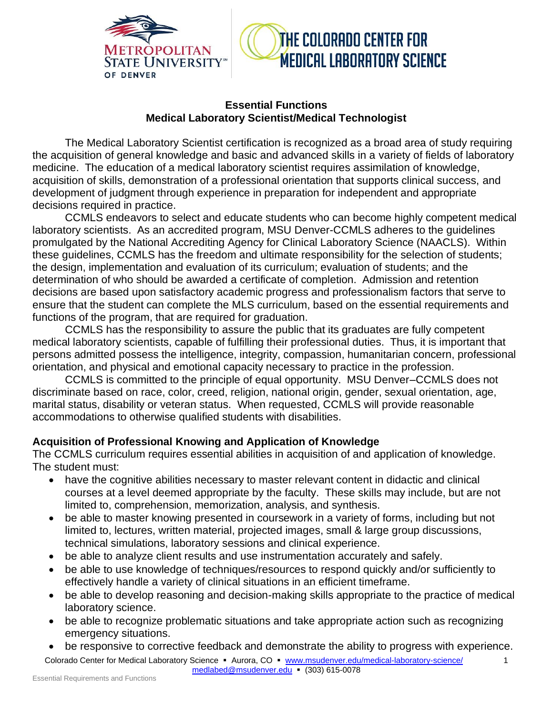

# THE COLORADO CENTER FOR **MEDICAL LABORATORY SCIENCE**

#### **Essential Functions Medical Laboratory Scientist/Medical Technologist**

The Medical Laboratory Scientist certification is recognized as a broad area of study requiring the acquisition of general knowledge and basic and advanced skills in a variety of fields of laboratory medicine. The education of a medical laboratory scientist requires assimilation of knowledge, acquisition of skills, demonstration of a professional orientation that supports clinical success, and development of judgment through experience in preparation for independent and appropriate decisions required in practice.

CCMLS endeavors to select and educate students who can become highly competent medical laboratory scientists. As an accredited program, MSU Denver-CCMLS adheres to the guidelines promulgated by the National Accrediting Agency for Clinical Laboratory Science (NAACLS). Within these guidelines, CCMLS has the freedom and ultimate responsibility for the selection of students; the design, implementation and evaluation of its curriculum; evaluation of students; and the determination of who should be awarded a certificate of completion. Admission and retention decisions are based upon satisfactory academic progress and professionalism factors that serve to ensure that the student can complete the MLS curriculum, based on the essential requirements and functions of the program, that are required for graduation.

CCMLS has the responsibility to assure the public that its graduates are fully competent medical laboratory scientists, capable of fulfilling their professional duties. Thus, it is important that persons admitted possess the intelligence, integrity, compassion, humanitarian concern, professional orientation, and physical and emotional capacity necessary to practice in the profession.

CCMLS is committed to the principle of equal opportunity. MSU Denver–CCMLS does not discriminate based on race, color, creed, religion, national origin, gender, sexual orientation, age, marital status, disability or veteran status. When requested, CCMLS will provide reasonable accommodations to otherwise qualified students with disabilities.

#### **Acquisition of Professional Knowing and Application of Knowledge**

The CCMLS curriculum requires essential abilities in acquisition of and application of knowledge. The student must:

- have the cognitive abilities necessary to master relevant content in didactic and clinical courses at a level deemed appropriate by the faculty. These skills may include, but are not limited to, comprehension, memorization, analysis, and synthesis.
- be able to master knowing presented in coursework in a variety of forms, including but not limited to, lectures, written material, projected images, small & large group discussions, technical simulations, laboratory sessions and clinical experience.
- be able to analyze client results and use instrumentation accurately and safely.
- be able to use knowledge of techniques/resources to respond quickly and/or sufficiently to effectively handle a variety of clinical situations in an efficient timeframe.
- be able to develop reasoning and decision-making skills appropriate to the practice of medical laboratory science.
- be able to recognize problematic situations and take appropriate action such as recognizing emergency situations.
- be responsive to corrective feedback and demonstrate the ability to progress with experience.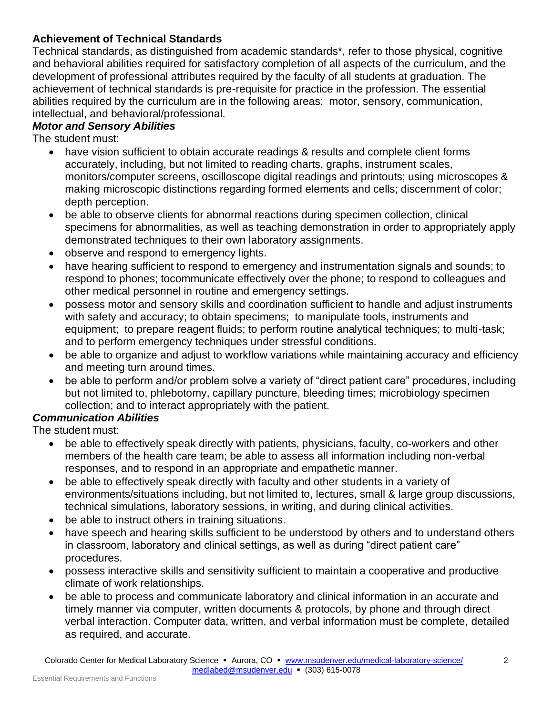### **Achievement of Technical Standards**

Technical standards, as distinguished from academic standards\*, refer to those physical, cognitive and behavioral abilities required for satisfactory completion of all aspects of the curriculum, and the development of professional attributes required by the faculty of all students at graduation. The achievement of technical standards is pre-requisite for practice in the profession. The essential abilities required by the curriculum are in the following areas: motor, sensory, communication, intellectual, and behavioral/professional.

# *Motor and Sensory Abilities*

The student must:

- have vision sufficient to obtain accurate readings & results and complete client forms accurately, including, but not limited to reading charts, graphs, instrument scales, monitors/computer screens, oscilloscope digital readings and printouts; using microscopes & making microscopic distinctions regarding formed elements and cells; discernment of color; depth perception.
- be able to observe clients for abnormal reactions during specimen collection, clinical specimens for abnormalities, as well as teaching demonstration in order to appropriately apply demonstrated techniques to their own laboratory assignments.
- observe and respond to emergency lights.
- have hearing sufficient to respond to emergency and instrumentation signals and sounds; to respond to phones; tocommunicate effectively over the phone; to respond to colleagues and other medical personnel in routine and emergency settings.
- possess motor and sensory skills and coordination sufficient to handle and adjust instruments with safety and accuracy; to obtain specimens; to manipulate tools, instruments and equipment; to prepare reagent fluids; to perform routine analytical techniques; to multi-task; and to perform emergency techniques under stressful conditions.
- be able to organize and adjust to workflow variations while maintaining accuracy and efficiency and meeting turn around times.
- be able to perform and/or problem solve a variety of "direct patient care" procedures, including but not limited to, phlebotomy, capillary puncture, bleeding times; microbiology specimen collection; and to interact appropriately with the patient.

# *Communication Abilities*

The student must:

- be able to effectively speak directly with patients, physicians, faculty, co-workers and other members of the health care team; be able to assess all information including non-verbal responses, and to respond in an appropriate and empathetic manner.
- be able to effectively speak directly with faculty and other students in a variety of environments/situations including, but not limited to, lectures, small & large group discussions, technical simulations, laboratory sessions, in writing, and during clinical activities.
- be able to instruct others in training situations.
- have speech and hearing skills sufficient to be understood by others and to understand others in classroom, laboratory and clinical settings, as well as during "direct patient care" procedures.
- possess interactive skills and sensitivity sufficient to maintain a cooperative and productive climate of work relationships.
- be able to process and communicate laboratory and clinical information in an accurate and timely manner via computer, written documents & protocols, by phone and through direct verbal interaction. Computer data, written, and verbal information must be complete, detailed as required, and accurate.